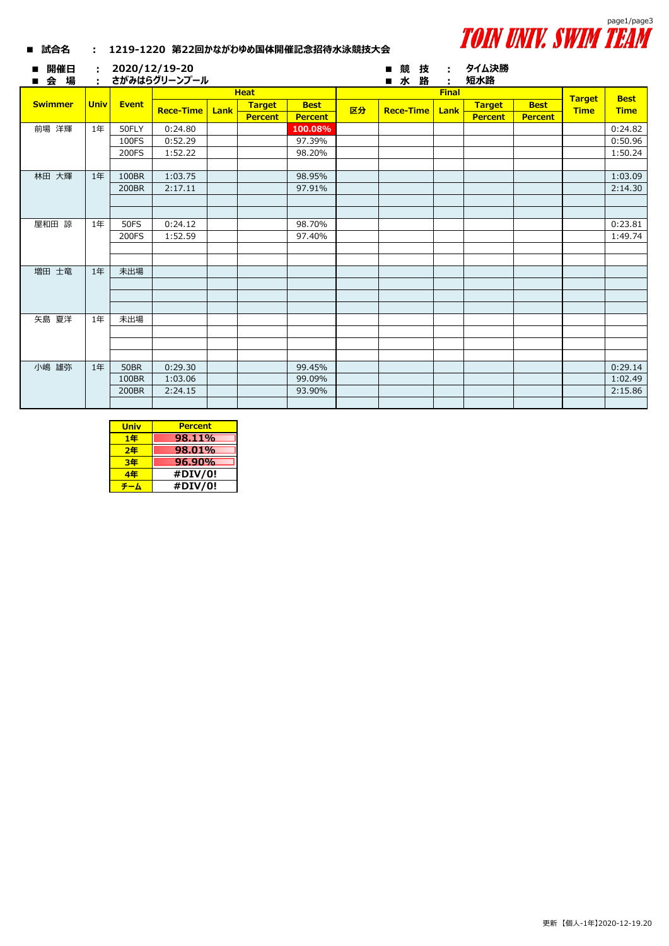

|  | ■ 試合名 |  |  | 1219-1220 第22回かながわゆめ国体開催記念招待水泳競技大会 |
|--|-------|--|--|------------------------------------|
|--|-------|--|--|------------------------------------|

| <b>Heat</b><br><b>Final</b><br><b>Best</b><br><b>Target</b><br><b>Swimmer</b><br><b>Univ</b><br><b>Event</b><br><b>Target</b><br><b>Best</b><br><b>Target</b><br><b>Best</b><br>区分<br><b>Time</b><br><b>Rece-Time</b><br><b>Rece-Time</b><br><b>Time</b><br>Lank<br>Lank<br><b>Percent</b><br><b>Percent</b><br><b>Percent</b><br><b>Percent</b><br>前場 洋輝<br>1年<br>0:24.80<br>0:24.82<br>50FLY<br>100.08%<br>0:50.96<br>0:52.29<br>97.39%<br>100FS<br>1:50.24<br>200FS<br>1:52.22<br>98.20%<br>林田 大輝<br>100BR<br>1:03.09<br>1年<br>1:03.75<br>98.95%<br>2:14.30<br>2:17.11<br>97.91%<br>200BR<br>屋和田 諒<br>0:23.81<br>1年<br><b>50FS</b><br>0:24.12<br>98.70%<br>1:49.74<br>97.40%<br>200FS<br>1:52.59<br>増田 士竜<br>未出場<br>$1$ 年 |
|------------------------------------------------------------------------------------------------------------------------------------------------------------------------------------------------------------------------------------------------------------------------------------------------------------------------------------------------------------------------------------------------------------------------------------------------------------------------------------------------------------------------------------------------------------------------------------------------------------------------------------------------------------------------------------------------------------------------------|
|                                                                                                                                                                                                                                                                                                                                                                                                                                                                                                                                                                                                                                                                                                                              |
|                                                                                                                                                                                                                                                                                                                                                                                                                                                                                                                                                                                                                                                                                                                              |
|                                                                                                                                                                                                                                                                                                                                                                                                                                                                                                                                                                                                                                                                                                                              |
|                                                                                                                                                                                                                                                                                                                                                                                                                                                                                                                                                                                                                                                                                                                              |
|                                                                                                                                                                                                                                                                                                                                                                                                                                                                                                                                                                                                                                                                                                                              |
|                                                                                                                                                                                                                                                                                                                                                                                                                                                                                                                                                                                                                                                                                                                              |
|                                                                                                                                                                                                                                                                                                                                                                                                                                                                                                                                                                                                                                                                                                                              |
|                                                                                                                                                                                                                                                                                                                                                                                                                                                                                                                                                                                                                                                                                                                              |
|                                                                                                                                                                                                                                                                                                                                                                                                                                                                                                                                                                                                                                                                                                                              |
|                                                                                                                                                                                                                                                                                                                                                                                                                                                                                                                                                                                                                                                                                                                              |
|                                                                                                                                                                                                                                                                                                                                                                                                                                                                                                                                                                                                                                                                                                                              |
|                                                                                                                                                                                                                                                                                                                                                                                                                                                                                                                                                                                                                                                                                                                              |
|                                                                                                                                                                                                                                                                                                                                                                                                                                                                                                                                                                                                                                                                                                                              |
|                                                                                                                                                                                                                                                                                                                                                                                                                                                                                                                                                                                                                                                                                                                              |
|                                                                                                                                                                                                                                                                                                                                                                                                                                                                                                                                                                                                                                                                                                                              |
|                                                                                                                                                                                                                                                                                                                                                                                                                                                                                                                                                                                                                                                                                                                              |
|                                                                                                                                                                                                                                                                                                                                                                                                                                                                                                                                                                                                                                                                                                                              |
|                                                                                                                                                                                                                                                                                                                                                                                                                                                                                                                                                                                                                                                                                                                              |
|                                                                                                                                                                                                                                                                                                                                                                                                                                                                                                                                                                                                                                                                                                                              |
| 矢島 夏洋<br>未出場<br>1年                                                                                                                                                                                                                                                                                                                                                                                                                                                                                                                                                                                                                                                                                                           |
|                                                                                                                                                                                                                                                                                                                                                                                                                                                                                                                                                                                                                                                                                                                              |
|                                                                                                                                                                                                                                                                                                                                                                                                                                                                                                                                                                                                                                                                                                                              |
| 小嶋 雄弥<br>0:29.14<br>1年<br><b>50BR</b><br>0:29.30<br>99.45%                                                                                                                                                                                                                                                                                                                                                                                                                                                                                                                                                                                                                                                                   |
| 99.09%<br>1:02.49<br>100BR<br>1:03.06                                                                                                                                                                                                                                                                                                                                                                                                                                                                                                                                                                                                                                                                                        |
| 2:15.86<br>93.90%<br>200BR<br>2:24.15                                                                                                                                                                                                                                                                                                                                                                                                                                                                                                                                                                                                                                                                                        |
|                                                                                                                                                                                                                                                                                                                                                                                                                                                                                                                                                                                                                                                                                                                              |

| <b>Univ</b> | <b>Percent</b> |
|-------------|----------------|
| 1年          | 98.11%         |
| 2年          | 98.01%         |
| 3年          | 96.90%         |
| 4年          | #DIV/0!        |
|             | #DIV/0!        |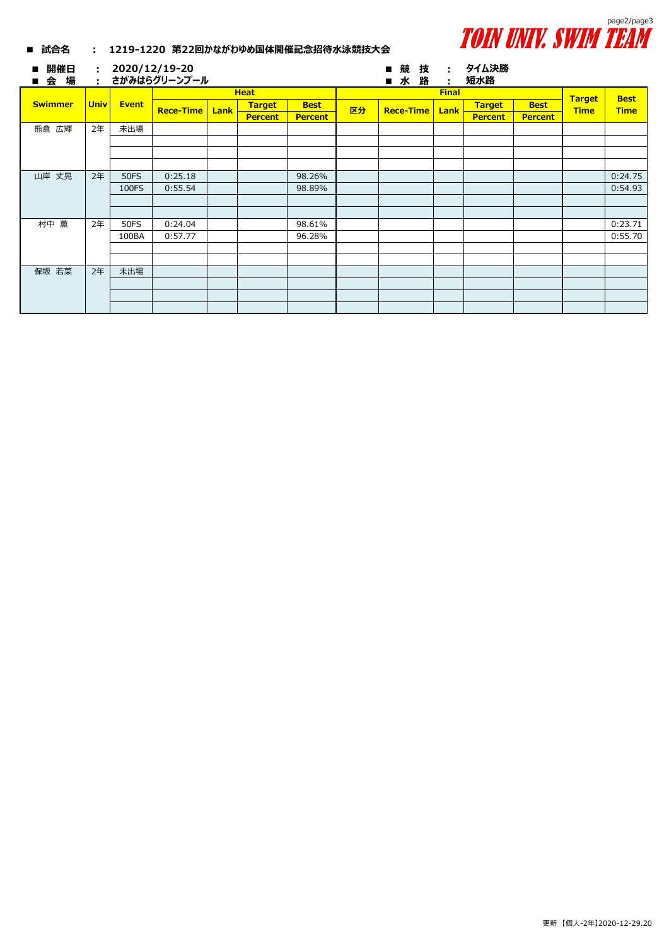

| ■ 試合名          | I VIII VIII II JIIIII I LHII<br>1219-1220 第22回かながわゆめ国体開催記念招待水泳競技大会<br>$\mathbf{L}$ |             |                               |      |                |                |    |                   |              |                |                |               |             |
|----------------|------------------------------------------------------------------------------------|-------------|-------------------------------|------|----------------|----------------|----|-------------------|--------------|----------------|----------------|---------------|-------------|
| 開催日<br>会 場     | $\mathcal{L}_{\mathrm{max}}$<br>÷                                                  |             | 2020/12/19-20<br>さがみはらグリーンプール |      |                |                |    | 競<br>技<br>■水<br>路 | п.<br>÷      | タイム決勝<br>短水路   |                |               |             |
|                | <b>Univ</b>                                                                        | Event       | <b>Heat</b>                   |      |                |                |    |                   | <b>Final</b> |                |                | <b>Target</b> | <b>Best</b> |
| <b>Swimmer</b> |                                                                                    |             | <b>Rece-Time</b>              | Lank | <b>Target</b>  | <b>Best</b>    | 区分 | <b>Rece-Time</b>  | Lank         | <b>Target</b>  | <b>Best</b>    | <b>Time</b>   | <b>Time</b> |
|                |                                                                                    |             |                               |      | <b>Percent</b> | <b>Percent</b> |    |                   |              | <b>Percent</b> | <b>Percent</b> |               |             |
| 熊倉 広輝          | 2年                                                                                 | 未出場         |                               |      |                |                |    |                   |              |                |                |               |             |
|                |                                                                                    |             |                               |      |                |                |    |                   |              |                |                |               |             |
|                |                                                                                    |             |                               |      |                |                |    |                   |              |                |                |               |             |
|                |                                                                                    |             |                               |      |                |                |    |                   |              |                |                |               |             |
| 山岸 丈晃          | 2年                                                                                 | <b>50FS</b> | 0:25.18                       |      |                | 98.26%         |    |                   |              |                |                |               | 0:24.75     |
|                |                                                                                    | 100FS       | 0:55.54                       |      |                | 98.89%         |    |                   |              |                |                |               | 0:54.93     |
|                |                                                                                    |             |                               |      |                |                |    |                   |              |                |                |               |             |
|                |                                                                                    |             |                               |      |                |                |    |                   |              |                |                |               |             |
| 村中 薫           | 2年                                                                                 | <b>50FS</b> | 0:24.04                       |      |                | 98.61%         |    |                   |              |                |                |               | 0:23.71     |
|                |                                                                                    | 100BA       | 0:57.77                       |      |                | 96.28%         |    |                   |              |                |                |               | 0:55.70     |
|                |                                                                                    |             |                               |      |                |                |    |                   |              |                |                |               |             |
|                |                                                                                    |             |                               |      |                |                |    |                   |              |                |                |               |             |
| 保坂 若菜          | 2年                                                                                 | 未出場         |                               |      |                |                |    |                   |              |                |                |               |             |
|                |                                                                                    |             |                               |      |                |                |    |                   |              |                |                |               |             |
|                |                                                                                    |             |                               |      |                |                |    |                   |              |                |                |               |             |
|                |                                                                                    |             |                               |      |                |                |    |                   |              |                |                |               |             |